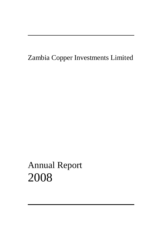Zambia Copper Investments Limited

Annual Report 2008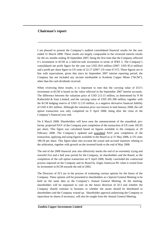# **Chairman's report**

I am pleased to present the Company's audited consolidated financial results for the year ended 31 March 2008. These results are largely comparable to the reviewed interim results for the six months ending 30 September 2007, being the first time that the Company reflected it's investment in KCM as a held-for-sale investment in terms of IFRS 5. The Company's consolidated net profit figure for the year was USD 28.0 million (2007: USD 85.4 million) and a profit per share figure in US cents of 22.17 (2007: US cents 67.67). These figures are in line with expectations, given that since its September 2007 interim reporting period, the Company has not included any income attributable to Konkola Copper Mines ("KCM"), other than the cash dividends received.

**\_\_\_\_\_\_\_\_\_\_\_\_\_\_\_\_\_\_\_\_\_\_\_\_\_\_\_\_\_\_\_\_\_\_\_\_\_\_\_\_\_\_\_\_\_\_\_\_\_\_\_\_\_\_\_\_\_\_\_\_\_\_\_\_\_\_\_\_\_\_\_\_\_\_**

When reviewing these results, it is important to note that the carrying value of ZCI's investment in KCM is based on the value reflected in the September 2007 interim accounts. The difference between the valuation price of USD 213.15 million, as determined by N M Rothschild & Sons Limited, and the carrying value of USD 205.398 million, together with the KCM hedging reserve of USD 12.133 million, is a negative derivative financial liability of USD 4.361 million. Although the valuation price was known in mid-January 2008, the call option transaction was only completed on 9 April 2008, being after the close of the Company's financial year end.

On 6 March 2008, Shareholders will have seen the announcement of the unaudited, proforma, projected NAV of the Company post completion of the transaction of US cents 185.95 per share. This figure was calculated based on figures available to the company at 29 February 2008. The Company's updated and unaudited NAV post completion of the transaction, applying and using figures available to the Board as at 31 May 2008, is US cents 186.59 per share. This figure takes into account the actual and accrued expenses relating to the arbitration, together with growth on the invested funds to the end of May 2008.

The end of the 2008 financial year also effectively marks the end of an extremely trying and stressful five and a half year period for the Company, its shareholders and the Board, as the completion of the call option transaction on 9 April 2008, finally concluded the contractual process imposed on the Company and its Board by Anglo American Plc when it exited from its investment in KCM towards the end of 2002.

The Directors of ZCI are in the process of evaluating various options for the future of the Company. These options will be presented to shareholders at a Special General Meeting to be held on the same date as the Company's Annual General Meeting. At the meeting, shareholders will be requested to vote on the future direction of ZCI and whether the Company should continue in business or whether the assets should be distributed to shareholders and the Company wound up. Shareholder approval authorising the Company to repurchase its shares if necessary, will also be sought from the Annual General Meeting.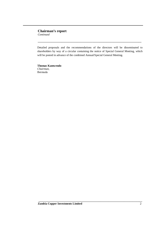# **Chairman's report** *Continued*

Detailed proposals and the recommendations of the directors will be disseminated to shareholders by way of a circular containing the notice of Special General Meeting, which will be posted in advance of the combined Annual/Special General Meeting.

**\_\_\_\_\_\_\_\_\_\_\_\_\_\_\_\_\_\_\_\_\_\_\_\_\_\_\_\_\_\_\_\_\_\_\_\_\_\_\_\_\_\_\_\_\_\_\_\_\_\_\_\_\_\_\_\_\_\_\_\_\_\_\_\_\_\_\_\_\_\_\_\_\_\_**

**Thomas Kamwendo** *Chairman,* Bermuda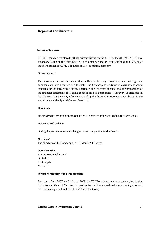# **Report of the directors**

# **Nature of business**

ZCI is Bermudian registered with its primary listing on the JSE Limited (the "JSE"). It has a secondary listing on the Paris Bourse. The Company's major asset is its holding of 28.4% of the share capital of KCM, a Zambian registered mining company.

**\_\_\_\_\_\_\_\_\_\_\_\_\_\_\_\_\_\_\_\_\_\_\_\_\_\_\_\_\_\_\_\_\_\_\_\_\_\_\_\_\_\_\_\_\_\_\_\_\_\_\_\_\_\_\_\_\_\_\_\_\_\_\_\_\_\_\_\_\_\_\_\_\_\_**

### **Going concern**

The directors are of the view that sufficient funding, ownership and management arrangements have been secured to enable the Company to continue in operation as going concerns for the foreseeable future. Therefore, the Directors consider that the preparation of the financial statements on a going concern basis is appropriate. However, as discussed in the Chairman's Statement, a decision regarding the future of the Company will be put to the shareholders at the Special General Meeting.

# **Dividends**

No dividends were paid or proposed by ZCI in respect of the year ended 31 March 2008*.*

### **Directors and officers**

During the year there were no changes to the composition of the Board.

### *Directorate*

The directors of the Company as at 31 March 2008 were:

### **Non-Executive**

T. Kamwendo (Chairman) D. Rodier S. Georgala M. Clerc

### **Directors meetings and remuneration**

Between 1 April 2007 and 31 March 2008, the ZCI Board met on nine occasions, in addition to the Annual General Meeting, to consider issues of an operational nature, strategy, as well as those having a material effect on ZCI and the Group.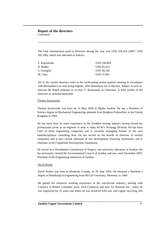The total remuneration paid to Directors during the year was USD 256,224 (2007: USD 182,106), which was allocated as follows:

**\_\_\_\_\_\_\_\_\_\_\_\_\_\_\_\_\_\_\_\_\_\_\_\_\_\_\_\_\_\_\_\_\_\_\_\_\_\_\_\_\_\_\_\_\_\_\_\_\_\_\_\_\_\_\_\_\_\_\_\_\_\_\_\_\_\_\_\_\_\_\_\_\_\_**

| T. Kamwendo | <b>USD 108.804</b> |
|-------------|--------------------|
| D. Rodier   | USD 65.813         |
| S. Georgala | USD 44.546         |
| M. Clerc    | USD 37.061         |

All of the current directors retire at the forthcoming annual general meeting in accordance with Bermudian Law and, being eligible, offer themselves for re-election. Subject to such reelection the Board proposes to re-elect T. Kamwendo as Chairman. A brief profile of the Directors is included hereunder:

### Thomas Kamwendo

Thomas Kamwendo was born on 14 May 1958 in Mpika Zambia. He has a Bachelor of Science degree in Mechanical Engineering obtained from Brighton Polytechnic in the United Kingdom in 1983.

He has more than 20 years experience in the Zambian mining industry having started his professional career as an engineer in what is today KCM's Nchanga Division. He has been CEO of three engineering companies and is currently managing Partner of his own multidisciplinary consulting firm. He has served on the boards of directors of several companies and is also current chairman of two development financing institutions, and is chairman of the Copperbelt Development Foundation.

He served on a Presidential Commission of Enquiry into university education in Zambia. He has previously chaired the Environmental Council of Zambia and was, until December 2005, President of the Engineering Institution of Zambia.

### David Rodier

David Rodier was born in Montreal, Canada, on 26 June 1943. He obtained a Bachelor's degree in Metallurgical Engineering from McGill University, Montreal, in 1966.

He gained his extensive working experience in the non-ferrous industry, starting with Cominco in British Columbia, (now Teck-Cominco) and later for Noranda Inc., where he was employed for 35 years and where he was involved with zinc and copper recycling. His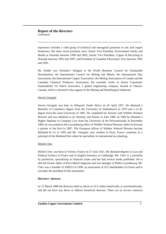experience includes a wide group of technical and managerial positions in zinc and copper businesses. His most recent positions were: Senior Vice President, Environment Safety and Health at Noranda between 1998 and 2002; Senior Vice President, Copper & Recycling at Noranda between 1995 and 1997; and President of Canadian Electrolytic Zinc between 1992 and 1995.

**\_\_\_\_\_\_\_\_\_\_\_\_\_\_\_\_\_\_\_\_\_\_\_\_\_\_\_\_\_\_\_\_\_\_\_\_\_\_\_\_\_\_\_\_\_\_\_\_\_\_\_\_\_\_\_\_\_\_\_\_\_\_\_\_\_\_\_\_\_\_\_\_\_\_**

Mr. Rodier was Noranda's delegate to the World Business Council for Sustainable Development, the International Council for Mining and Metals, the International Zinc Association, the International Copper Association, the Mining Association of Canada and the Canadian Chemical Producers Association. He currently works as Senior Consultant, Sustainability for Hatch Associates, a global engineering company located in Ontario, Canada, which is devoted to the support of the Mining and Metallurgical industries.

### Steven Georgala

Steven Georgala was born in Nelspruit, South Africa on 26 April 1957. He obtained a Bachelor of Commerce degree from the University of Stellenbosch in 1979 and a LL.B. degree from the same University in 1981. He completed his Articles with Webber Wentzel Bowens and was admitted as an Attorney and Notary in June 1984. In 1984 he obtained a Higher Diploma in Company Law from the University of the Witwatersrand. In December 1984, he was posted to the Luxembourg office of Webber Wentzel Bowens where he became a partner of the firm in 1987. The European offices of Webber Wentzel Bowens became Maitland & Co in 1993 and Mr. Georgala, now resident in Paris, France continues as a principal of the Maitland firm where he specialises in international tax planning.

# Michel Clerc

Michel Clerc was born in Vernon, France on 27 June 1921. He obtained degrees in Law and Political Science in France and in English literature at Cambridge. Mr. Clerc is a journalist by profession, specializing in financial issues and has had several books published. He is also the former editor of Paris-Match magazine and was manager of Radio Luxembourg. Mr. Clerc was a founder of AMZCI in 1999, an association of ZCI shareholders in France and is currently the president of this association.

# **Directors' interests**

At 31 March 2008 the directors held no shares in ZCI, either beneficially or non-beneficially, and did not have any direct or indirect beneficial interests. There are no service contracts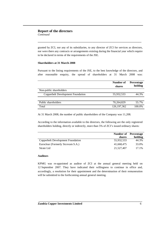granted by ZCI, nor any of its subsidiaries, to any director of ZCI for services as directors, nor were there any contracts or arrangements existing during the financial year which require to be declared in terms of the requirements of the JSE.

**\_\_\_\_\_\_\_\_\_\_\_\_\_\_\_\_\_\_\_\_\_\_\_\_\_\_\_\_\_\_\_\_\_\_\_\_\_\_\_\_\_\_\_\_\_\_\_\_\_\_\_\_\_\_\_\_\_\_\_\_\_\_\_\_\_\_\_\_\_\_\_\_\_\_**

### **Shareholders at 31 March 2008**

Pursuant to the listing requirements of the JSE, to the best knowledge of the directors, and after reasonable enquiry, the spread of shareholders at 31 March 2008 was:

|                                   | Number of<br>shares | Percentage<br>holding |
|-----------------------------------|---------------------|-----------------------|
| Non-public shareholders           |                     |                       |
| Copperbelt Development Foundation | 55,932,533          | 44.3%                 |
|                                   |                     |                       |
| Public shareholders               | 70,264,829          | 55.7%                 |
| Total                             | 126, 197, 362       | 100.0%                |

At 31 March 2008, the number of public shareholders of the Company was 11,208.

According to the information available to the directors, the following are the only registered shareholders holding, directly or indirectly, more than 5% of ZCI's issued ordinary shares:

|                                   | <b>Number of</b> Percentage |         |
|-----------------------------------|-----------------------------|---------|
|                                   | shares                      | holding |
| Copperbelt Development Foundation | 55.932.533                  | 44.3%   |
| Euroclear (Formerly Sicovam S.A.) | 41.668.475                  | 33.0%   |
| Strate Ltd                        | 21,527,407                  | 17.1%   |

### **Auditors**

KPMG was re-appointed as auditor of ZCI at the annual general meeting held on 12 September 2007. They have indicated their willingness to continue in office and, accordingly, a resolution for their appointment and the determination of their remuneration will be submitted to the forthcoming annual general meeting.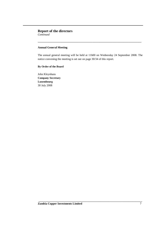# **Annual General Meeting**

The annual general meeting will be held at 11h00 on Wednesday 24 September 2008. The notice convening the meeting is set out on page 30/34 of this report.

**\_\_\_\_\_\_\_\_\_\_\_\_\_\_\_\_\_\_\_\_\_\_\_\_\_\_\_\_\_\_\_\_\_\_\_\_\_\_\_\_\_\_\_\_\_\_\_\_\_\_\_\_\_\_\_\_\_\_\_\_\_\_\_\_\_\_\_\_\_\_\_\_\_\_**

**\_\_\_\_\_\_\_\_\_\_\_\_\_\_\_\_\_\_\_\_\_\_\_\_\_\_\_\_\_\_\_\_\_\_\_\_\_\_\_\_\_\_\_\_\_\_\_\_\_\_\_\_\_\_\_\_\_\_\_\_\_\_\_\_\_\_\_\_\_\_\_\_\_\_**

# **By Order of the Board**

John Kleynhans **Company Secretary Luxembourg** 30 July 2008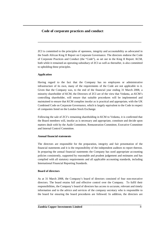# **Code of corporate practices and conduct**

ZCI is committed to the principles of openness, integrity and accountability as advocated in the South African King II Report on Corporate Governance. The directors endorse the Code of Corporate Practices and Conduct (the "Code"), as set out in the King II Report. KCM, both while it remained an operating subsidiary of ZCI as well as thereafter, is also committed to upholding these principles.

**\_\_\_\_\_\_\_\_\_\_\_\_\_\_\_\_\_\_\_\_\_\_\_\_\_\_\_\_\_\_\_\_\_\_\_\_\_\_\_\_\_\_\_\_\_\_\_\_\_\_\_\_\_\_\_\_\_\_\_\_\_\_\_\_\_\_\_\_\_\_\_\_\_\_**

### **Application**

Having regard to the fact that the Company has no employees or administrative infrastructure of its own, many of the requirements of the Code are not applicable to it. Given that the Company was, to the end of the financial year ending 31 March 2008, a minority shareholder of KCM, the Directors of ZCI are of the view that Vedanta, as KCM's controlling shareholder, will ensure that suitable procedures will be implemented and maintained to ensure that KCM complies insofar as is practical and appropriate, with the UK Combined Code on Corporate Governance, which is largely equivalent to the Code in respect of companies listed on the London Stock Exchange.

Following the sale of ZCI's remaining shareholding in KCM to Vedanta, it is confirmed that the Board members will, insofar as is necessary and appropriate, constitute and decide upon matters dealt with by the Audit Committee, Remuneration Committee, Executive Committee and Internal Control Committee.

### **Annual financial statements**

The directors are responsible for the preparation, integrity and fair presentation of the financial statements and it is the responsibility of the independent auditors to report thereon. In preparing the annual financial statements the Company has used appropriate accounting policies consistently, supported by reasonable and prudent judgement and estimates and has complied with all statutory requirements and all applicable accounting standards, including International Financial Reporting Standards.

# **Board of directors**

As at 31 March 2008, the Company's board of directors consisted of four non-executive directors. The board retains full and effective control over the Company. To fulfil their responsibilities, the Company's board of directors has access to accurate, relevant and timely information and to the advice and services of the company secretary who is responsible to the board for ensuring the board procedures are followed. In addition, the directors are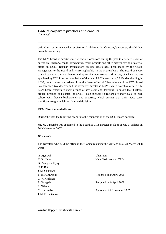# **Code of corporate practices and conduct** *Continued*

entitled to obtain independent professional advice at the Company's expense, should they deem this necessary.

**\_\_\_\_\_\_\_\_\_\_\_\_\_\_\_\_\_\_\_\_\_\_\_\_\_\_\_\_\_\_\_\_\_\_\_\_\_\_\_\_\_\_\_\_\_\_\_\_\_\_\_\_\_\_\_\_\_\_\_\_\_\_\_\_\_\_\_\_\_\_\_\_\_\_**

The KCM board of directors met on various occasions during the year to consider issues of operational strategy, capital expenditure, major projects and other matters having a material effect on KCM. Regular presentations on key issues have been made by the Group Management to the Board and, where applicable, to the Shareholders. The Board of KCM comprises one executive director and up to nine non-executive directors, of which two are appointed by ZCI. Post the completion of the sale of ZCI's remaining 28.4% shareholding in KCM, the ZCI directors resigned from the Board of KCM. The chairman of the KCM board is a non-executive director and the executive director is KCM's chief executive officer. The KCM board reserves to itself a range of key issues and decisions, to ensure that it retains proper direction and control of KCM. Non-executive directors are individuals of high calibre with diverse backgrounds and expertise, which ensures that their views carry significant weight in deliberations and decisions.

### **KCM Directors and officers**

During the year the following changes to the composition of the KCM Board occurred:

Mr. M. Lumamba was appointed to the Board as GRZ Director in place of Mr. L. Nkhata on 26th November 2007.

### *Directorate*

The Directors who held the office in the Company during the year and as at 31 March 2008 were:

| N. Agarwal         | Chairman                   |
|--------------------|----------------------------|
| K. K. Kaura        | Vice Chairman and CEO      |
| D. Bandyopadhyay   |                            |
| C. P. Baid         |                            |
| J. M. Chikolwa     |                            |
| T. D. Kamwendo     | Resigned on 9 April 2008   |
| C. V. Krishnan     |                            |
| S. Georgala        | Resigned on 9 April 2008   |
| L. Nkhata          |                            |
| M. Lumamba         | Appointed 26 November 2007 |
| J. M. D. Patterson |                            |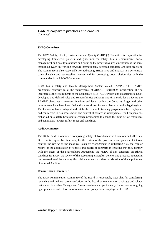# **Code of corporate practices and conduct** *Continued*

### **SHEQ Committee**

The KCM Safety, Health, Environment and Quality ("SHEQ") Committee is responsible for developing framework policies and guidelines for safety, health, environment, social management and quality assurance and ensuring the progressive implementation of the same throughout KCM in working towards internationally accepted standards and best practices. The Committee is also responsible for addressing SHEQ risks and impacts in a systematic, comprehensive and businesslike manner and for promoting good relationships with the communities in which KCM operates.

**\_\_\_\_\_\_\_\_\_\_\_\_\_\_\_\_\_\_\_\_\_\_\_\_\_\_\_\_\_\_\_\_\_\_\_\_\_\_\_\_\_\_\_\_\_\_\_\_\_\_\_\_\_\_\_\_\_\_\_\_\_\_\_\_\_\_\_\_\_\_\_\_\_\_**

KCM has a safety and Health Management System called RAMPK. The RAMPK programme conforms to all the requirements of OHSAS 18001:1999 Specification. It also incorporates the requirements of the Company's SHE+A63Q Policy and its objectives. KCM developed and defined roles and responsibilities authority and time scale for achieving the RAMPK objectives at relevant functions and levels within the Company. Legal and other requirements have been identified and are mentioned for compliance through a legal register. The Company has developed and established suitable training programmes for employees and contractors in risk assessments and control of hazards in work places. The Company has embarked on a safety behavioural change programme to change the mind set of employees and contractors towards safety issues and standards.

### **Audit Committee**

The KCM Audit Committee comprising solely of Non-Executive Directors and Alternate Directors is responsible, inter alia, for the review of the procedures and policies of internal control, the review of the measures taken by Management in mitigating risk, the regular review of the adjudication of tenders and award of contracts in ensuring that they comply with the intent of the Shareholders Agreement, the review of any statement on ethical standards for KCM, the review of the accounting principles, policies and practices adopted in the preparation of the statutory financial statements and the consideration of the appointment of external Auditors.

### **Remuneration Committee**

The KCM Remuneration Committee of the Board is responsible, inter alia, for considering, reviewing and making recommendations to the Board on remuneration packages and related matters of Executive Management Team members and periodically for reviewing ongoing appropriateness and relevance of remuneration policy for all employees of KCM.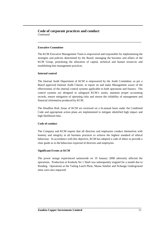# **Code of corporate practices and conduct** *Continued*

# **Executive Committee**

The KCM Executive Management Team is empowered and responsible for implementing the strategies and policies determined by the Board, managing the business and affairs of the KCM Group, prioritising the allocation of capital, technical and human resources and establishing best management practices.

**\_\_\_\_\_\_\_\_\_\_\_\_\_\_\_\_\_\_\_\_\_\_\_\_\_\_\_\_\_\_\_\_\_\_\_\_\_\_\_\_\_\_\_\_\_\_\_\_\_\_\_\_\_\_\_\_\_\_\_\_\_\_\_\_\_\_\_\_\_\_\_\_\_\_**

### **Internal control**

The Internal Audit Department of KCM is empowered by the Audit Committee, as per a Board approved Internal Audit Charter, to report on and make Management aware of the effectiveness of the internal control systems applicable to both operations and finance. The control systems are designed to safeguard KCM's assets, maintain proper accounting records, ensure mitigation of operating risks and ensure the reliability of management and financial information produced by KCM.

The Headline Risk Areas of KCM are reviewed on a bi-annual basis under the Combined Code and appropriate action plans are implemented to mitigate identified high impact and high likelihood risks.

### **Code of conduct**

The Company and KCM require that all directors and employees conduct themselves with honesty and integrity in all business practices to achieve the highest standard of ethical behaviour. In accordance with this objective, KCM has adopted a code of ethics to provide a clear guide as to the behaviour expected of directors and employees.

# **Significant Events at KCM**

The power outage experienced nationwide on 19 January 2008 adversely affected the operations. Production at Konkola No 1 Shaft was subsequently stopped for a month due to flooding. Operations at the Tailing Leach Plant, Nkana Smelter and Nchanga Underground mine were also impacted.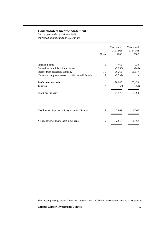# **Consolidated Income Statement**

*for the year ended 31 March 2008 expressed in thousands of US Dollars*

|                                                          | <b>Notes</b>   | Year ended<br>31 March<br>2008 | Year ended<br>31 March<br>2007 |
|----------------------------------------------------------|----------------|--------------------------------|--------------------------------|
| Finance income                                           | 6              | 465                            | 730                            |
| General and administration expenses                      |                | (5,956)                        | (849)                          |
| Income from associated company                           | 15             | 36,268                         | 85,577                         |
| Net cost arising from assets classified as held for sale | 16             | (2,732)                        |                                |
| <b>Profit before taxation</b>                            |                | 28,045                         | 85,458                         |
| Taxation                                                 | $\overline{7}$ | (67)                           | (60)                           |
| Profit for the year                                      |                | 27,978                         | 85,398                         |
|                                                          |                |                                |                                |
| Headline earnings per ordinary share in US cents         | 5              | 25.62                          | 67.67                          |
| Net profit per ordinary share in US cents                | 5              | 22.17                          | 67.67                          |

**\_\_\_\_\_\_\_\_\_\_\_\_\_\_\_\_\_\_\_\_\_\_\_\_\_\_\_\_\_\_\_\_\_\_\_\_\_\_\_\_\_\_\_\_\_\_\_\_\_\_\_\_\_\_\_\_\_\_\_\_\_\_\_\_\_\_\_\_\_\_\_\_\_\_**

The accompanying notes form an integral part of these consolidated financial statements. **\_\_\_\_\_\_\_\_\_\_\_\_\_\_\_\_\_\_\_\_\_\_\_\_\_\_\_\_\_\_\_\_\_\_\_\_\_\_\_\_\_\_\_\_\_\_\_\_\_\_\_\_\_\_\_\_\_\_\_\_\_\_\_\_\_\_\_\_\_\_\_\_\_\_**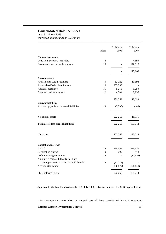# **Consolidated Balance Sheet**

*as at 31 March 2008 expressed in thousands of US Dollars*

|                                                | <b>Notes</b> | 31 March<br>2008 | 31 March<br>2007 |
|------------------------------------------------|--------------|------------------|------------------|
| <b>Non-current assets</b>                      |              |                  |                  |
| Long term accounts receivable                  | 8            |                  | 4,890            |
| Investment in associated company               | 15           |                  | 170,313          |
|                                                |              |                  | 175,203          |
| <b>Current assets</b>                          |              |                  |                  |
| Available for sale investment                  | 9            | 12,322           | 10,593           |
| Assets classified as held for sale             | 10           | 205,398          |                  |
| Accounts receivable                            | 11           | 5,258            | 5,250            |
| Cash and cash equivalents                      | 12           | 6,584            | 2,856            |
|                                                |              | 229,562          | 18,699           |
| <b>Current liabilities</b>                     |              |                  |                  |
| Accounts payable and accrued liabilities       | 13           | (7,296)          | (188)            |
| Net current assets                             |              | 222,266          | 18,511           |
| <b>Total assets less current liabilities</b>   |              | 222,266          | 193,714          |
| <b>Net assets</b>                              |              | 222,266          | 193,714          |
|                                                |              |                  |                  |
| <b>Capital and reserves</b>                    |              |                  |                  |
| Capital                                        | 14           | 334,547          | 334,547          |
| Revaluation reserve                            | 9            | 702              | 573              |
| Deficit on hedging reserve                     | 15           |                  | (12, 558)        |
| Amounts recognised directly in equity          |              |                  |                  |
| relating to assets classified as held for sale | 15           | (12, 113)        |                  |
| Accumulated deficit                            |              | (100, 870)       | (128, 848)       |
| Shareholders' equity                           |              | 222,266          | 193,714          |

**\_\_\_\_\_\_\_\_\_\_\_\_\_\_\_\_\_\_\_\_\_\_\_\_\_\_\_\_\_\_\_\_\_\_\_\_\_\_\_\_\_\_\_\_\_\_\_\_\_\_\_\_\_\_\_\_\_\_\_\_\_\_\_\_\_\_\_\_\_\_\_\_\_\_**

Approved by the board of directors, dated 30 July 2008: T. Kamwendo, director, S. Georgala, director

The accompanying notes form an integral part of these consolidated financial statements. **\_\_\_\_\_\_\_\_\_\_\_\_\_\_\_\_\_\_\_\_\_\_\_\_\_\_\_\_\_\_\_\_\_\_\_\_\_\_\_\_\_\_\_\_\_\_\_\_\_\_\_\_\_\_\_\_\_\_\_\_\_\_\_\_\_\_\_\_\_\_\_\_\_\_**

**Zambia Copper Investments Limited** 13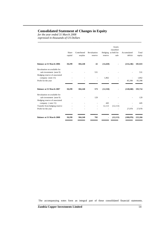# **Consolidated Statement of Changes in Equity**

*for the year ended 31 March 2008 expressed in thousands of US Dollars*

|                                                          |         |             |                          |           | Assets<br>classified |             |         |
|----------------------------------------------------------|---------|-------------|--------------------------|-----------|----------------------|-------------|---------|
|                                                          | Share   | Contributed | Revaluation              |           | Hedging as held for  | Accumulated | Total   |
|                                                          | capital | surplus     | reserve                  | reserve   | sale                 | deficit     | equity  |
| <b>Balance at 31 March 2006</b>                          | 30,299  | 304,248     | 42                       | (14, 420) |                      | (214, 246)  | 105,923 |
| Revaluation on available for<br>sale investment (note 9) |         |             | 531                      |           |                      |             | 531     |
| Hedging reserve of associated<br>company (note 15)       |         |             | $\overline{\phantom{a}}$ | 1,862     |                      |             | 1,862   |
| Profit for the year                                      |         |             |                          |           |                      | 85,398      | 85,398  |
| <b>Balance at 31 March 2007</b>                          | 30,299  | 304,248     | 573                      | (12, 558) |                      | (128, 848)  | 193,714 |
| Revaluation on available for<br>sale investment (note 9) |         |             | 129                      |           |                      |             | 129     |
| Hedging reserve of associated<br>company (note 15)       |         |             |                          | 445       |                      |             | 445     |
| Transfer from hedging reserve                            |         |             |                          | 12,113    | (12, 113)            |             |         |
| Profit for the year                                      |         |             |                          |           |                      | 27,978      | 27,978  |
| <b>Balance at 31 March 2008</b>                          | 30,299  | 304,248     | 702                      | ٠         | (12, 113)            | (100, 870)  | 222,266 |

**\_\_\_\_\_\_\_\_\_\_\_\_\_\_\_\_\_\_\_\_\_\_\_\_\_\_\_\_\_\_\_\_\_\_\_\_\_\_\_\_\_\_\_\_\_\_\_\_\_\_\_\_\_\_\_\_\_\_\_\_\_\_\_\_\_\_\_\_\_\_\_\_\_\_**

The accompanying notes form an integral part of these consolidated financial statements. **\_\_\_\_\_\_\_\_\_\_\_\_\_\_\_\_\_\_\_\_\_\_\_\_\_\_\_\_\_\_\_\_\_\_\_\_\_\_\_\_\_\_\_\_\_\_\_\_\_\_\_\_\_\_\_\_\_\_\_\_\_\_\_\_\_\_\_\_\_\_\_\_\_\_**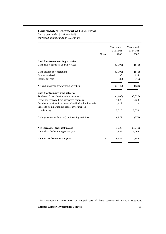# **Consolidated Statement of Cash Flows**

*for the year ended 31 March 2008 expressed in thousands of US Dollars*

|                                                            | <b>Notes</b> | Year ended<br>31 March<br>2008 | Year ended<br>31 March<br>2007 |
|------------------------------------------------------------|--------------|--------------------------------|--------------------------------|
| Cash flow from operating activities                        |              |                                |                                |
| Cash paid to suppliers and employees                       |              | (3,198)                        | (876)                          |
| Cash absorbed by operations                                |              | (3,198)                        | (876)                          |
| Interest received                                          |              | 135                            | 114                            |
| Income tax paid                                            |              | (86)                           | (76)                           |
| Net cash absorbed by operating activities                  |              | (3,149)                        | (838)                          |
| <b>Cash flow from investing activities</b>                 |              |                                |                                |
| Purchase of available for sale investments                 |              | (1,600)                        | (7,220)                        |
| Dividends received from associated company                 |              | 1,628                          | 1,628                          |
| Dividends received from assets classified as held for sale |              | 1,629                          |                                |
| Proceeds from partial disposal of investment in            |              |                                |                                |
| subsidiary                                                 |              | 5,220                          | 5,220                          |
| Cash generated / (absorbed) by investing activities        |              | 6,877                          | (372)                          |
|                                                            |              |                                |                                |
| Net increase / (decrease) in cash                          |              | 3,728                          | (1,210)                        |
| Net cash at the beginning of the year                      |              | 2,856                          | 4,066                          |
| Net cash at the end of the year                            | 12           | 6,584                          | 2,856                          |
|                                                            |              |                                |                                |

**\_\_\_\_\_\_\_\_\_\_\_\_\_\_\_\_\_\_\_\_\_\_\_\_\_\_\_\_\_\_\_\_\_\_\_\_\_\_\_\_\_\_\_\_\_\_\_\_\_\_\_\_\_\_\_\_\_\_\_\_\_\_\_\_\_\_\_\_\_\_\_\_\_\_**

The accompanying notes form an integral part of these consolidated financial statements. **\_\_\_\_\_\_\_\_\_\_\_\_\_\_\_\_\_\_\_\_\_\_\_\_\_\_\_\_\_\_\_\_\_\_\_\_\_\_\_\_\_\_\_\_\_\_\_\_\_\_\_\_\_\_\_\_\_\_\_\_\_\_\_\_\_\_\_\_\_\_\_\_\_\_**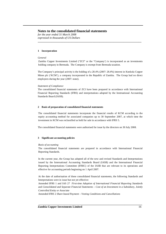*for the year ended 31 March 2008 expressed in thousands of US Dollars*

### **1 Incorporation**

#### *General*

Zambia Copper Investments Limited ("ZCI" or the "Company') is incorporated as an investments holding company in Bermuda. The Company is exempt from Bermuda taxation.

**\_\_\_\_\_\_\_\_\_\_\_\_\_\_\_\_\_\_\_\_\_\_\_\_\_\_\_\_\_\_\_\_\_\_\_\_\_\_\_\_\_\_\_\_\_\_\_\_\_\_\_\_\_\_\_\_\_\_\_\_\_\_\_\_\_\_\_\_\_\_\_\_\_\_**

The Company's principal activity is the holding of a 28.4% (2007: 28.4%) interest in Konkola Copper Mines plc ('KCM'), a company incorporated in the Republic of Zambia. The Group had no direct employees during the year (2007: none).

#### *Statement of Compliance*

The consolidated financial statements of ZCI have been prepared in accordance with International Financial Reporting Standards (IFRS) and interpretations adopted by the International Accounting Standards Board (IASB).

#### **2 Basis of preparation of consolidated financial statements**

The consolidated financial statements incorporate the financial results of KCM according to the equity accounting method for associated companies up to 30 September 2007, at which time the investment in KCM was reclassified as held for sale in accordance with IFRS 5.

The consolidated financial statements were authorised for issue by the directors on 30 July 2008.

#### **3 Significant accounting policies**

#### *Basis of accounting*

The consolidated financial statements are prepared in accordance with International Financial Reporting Standards.

In the current year, the Group has adopted all of the new and revised Standards and Interpretations issued by the International Accounting Standards Board (IASB) and the International Financial Reporting Interpretations Committee (IFRIC) of the IASB that are relevant to its operations and effective for accounting periods beginning on 1 April 2007.

At the date of authorisation of these consolidated financial statements, the following Standards and Interpretations were in issue but not yet effective:

Amended IFRS 1 and IAS 27 *First-time Adoption of International Financial Reporting Standards* and *Consolidated and Separate Financial Statements – Cost of an Investment in a Subsidiary, Jointly Controlled Entity or Associate*

**\_\_\_\_\_\_\_\_\_\_\_\_\_\_\_\_\_\_\_\_\_\_\_\_\_\_\_\_\_\_\_\_\_\_\_\_\_\_\_\_\_\_\_\_\_\_\_\_\_\_\_\_\_\_\_\_\_\_\_\_\_\_\_\_\_\_\_\_\_\_\_\_\_\_**

Amended IFRS 2 *Share based Payment – Vesting Conditions and Cancellations*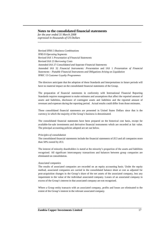*for the year ended 31 March 2008 expressed in thousands of US Dollars*

Revised IFRS 3 *Business Combinations* IFRS 8 *Operating Segments* Revised IAS 1 *Presentation of Financial Statements* Revised IAS 23 *Borrowing Costs* Amended IAS 27 *Consolidated and Separate Financial Statements* Amended IAS 32 *Financial Instruments: Presentation* and IAS 1 *Presentation of Financial Statements – Puttable Financial Instruments and Obligations Arising on Liquidation* IFRIC 13 *Customer Loyalty Programmes*

**\_\_\_\_\_\_\_\_\_\_\_\_\_\_\_\_\_\_\_\_\_\_\_\_\_\_\_\_\_\_\_\_\_\_\_\_\_\_\_\_\_\_\_\_\_\_\_\_\_\_\_\_\_\_\_\_\_\_\_\_\_\_\_\_\_\_\_\_\_\_\_\_\_\_**

The directors anticipate that the adoption of these Standards and Interpretations in future periods will have no material impact on the consolidated financial statements of the Group.

The preparation of financial statements in conformity with International Financial Reporting Standards requires management to make estimates and assumptions that affect the reported amount of assets and liabilities, disclosure of contingent assets and liabilities and the reported amount of revenues and expenses during the reporting period. Actual results could differ from those estimates.

These consolidated financial statements are presented in United States Dollars since that is the currency in which the majority of the Group's business is denominated.

The consolidated financial statements have been prepared on the historical cost basis, except for available-for-sale investments and derivative financial instruments which are recorded at fair value. The principal accounting policies adopted are set out below.

#### *Principles of consolidation*

The consolidated financial statements include the financial statements of ZCI and all companies more than 50% owned by ZCI.

The interest of minority shareholders is stated at the minority's proportion of the assets and liabilities recognised. All significant intercompany transactions and balances between group companies are eliminated on consolidation.

#### *Associated companies*

The results of associated companies are recorded on an equity accounting basis. Under the equity method, associated companies are carried in the consolidated balance sheet at cost as adjusted for post-acquisition changes in the Group's share of the net assets of the associated company, less any impairment to the value of the individual associated company. Losses of an associated company in excess of the Group's interest in that associated company are not recognised.

Where a Group entity transacts with an associated company, profits and losses are eliminated to the extent of the Group's interest in the relevant associated company.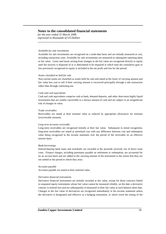*for the year ended 31 March 2008 expressed in thousands of US Dollars*

#### *Available for sale investments*

Available for sale investments are recognised on a trade-date basis and are initially measured at cost, including transaction costs. Available for sale investments are measured at subsequent reporting dates at fair value. Gains and losses arising from changes in the fair value are recognised directly in equity until the security is disposed of or is determined to be impaired at which time the cumulative gain or loss previously recognised in equity is included in the net profit and loss for the period.

**\_\_\_\_\_\_\_\_\_\_\_\_\_\_\_\_\_\_\_\_\_\_\_\_\_\_\_\_\_\_\_\_\_\_\_\_\_\_\_\_\_\_\_\_\_\_\_\_\_\_\_\_\_\_\_\_\_\_\_\_\_\_\_\_\_\_\_\_\_\_\_\_\_\_**

#### *Assets classified as held for sale*

Non-current assets are classified as assets held for sale and stated at the lower of carrying amount and fair value less cost to sell if their carrying amount is recovered principally through a sale transaction rather than through continuing use.

#### *Cash and cash equivalents*

Cash and cash equivalents comprise cash at bank, demand deposits, and other short-term highly liquid investments that are readily convertible to a known amount of cash and are subject to an insignificant risk of changes in value.

#### *Trade receivables*

Receivables are stated at their nominal value as reduced by appropriate allowances for estimate irrecoverable amounts.

#### *Long term accounts receivable*

Long-term receivables are recognised initially at their fair value. Subsequent to initial recognition, long-term receivables are stated at amortised cost with any difference between cost and redemption value being recognised in the income statement over the period of the receivable on an effective interest basis.

#### *Bank borrowings*

Interest-bearing bank loans and overdrafts are recorded at the proceeds received, net of direct issue costs. Finance charges, including premiums payable on settlement or redemption, are accounted for on an accrual basis and are added to the carrying amount of the instrument to the extent that they are not settled in the period in which they arise.

#### *Accounts payable*

Accounts payable are stated at their nominal value.

#### *Derivative financial instruments*

Derivative financial instruments are initially recorded at fair value, except for those contracts linked to unquoted equity instruments whose fair value cannot be measured reliably, on the date a derivative contract is entered into and are subsequently re-measured to their fair value at each balance sheet date. Changes in the fair value of derivatives are recognised immediately in the income statement unless the derivative is designated and effective as a hedging instrument, in which event the timing of the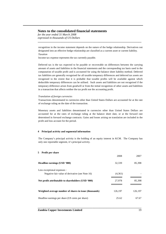*for the year ended 31 March 2008 expressed in thousands of US Dollars*

recognition in the income statement depends on the nature of the hedge relationship. Derivatives not designated into an effective hedge relationship are classified as a current asset or current liability. *Taxation*

**\_\_\_\_\_\_\_\_\_\_\_\_\_\_\_\_\_\_\_\_\_\_\_\_\_\_\_\_\_\_\_\_\_\_\_\_\_\_\_\_\_\_\_\_\_\_\_\_\_\_\_\_\_\_\_\_\_\_\_\_\_\_\_\_\_\_\_\_\_\_\_\_\_\_**

Income tax expense represents the tax currently payable.

Deferred tax is the tax expected to be payable or recoverable on differences between the carrying amount of assets and liabilities in the financial statements and the corresponding tax basis used in the computation of taxable profit and is accounted for using the balance sheet liability method. Deferred tax liabilities are generally recognised for all taxable temporary differences and deferred tax assets are recognised to the extent that it is probable that taxable profits will be available against which deductible temporary differences can be utilised. Such assets and liabilities are not recognised if the temporary difference arises from goodwill or from the initial recognition of other assets and liabilities in a transaction that affects neither the tax profit nor the accounting profit.

#### *Translation of foreign currencies*

Transactions denominated in currencies other than United States Dollars are accounted for at the rate of exchange ruling on the date of the transaction.

Monetary assets and liabilities denominated in currencies other than United States Dollars are accounted for at the rates of exchange ruling at the balance sheet date, or at the forward rate determined in forward exchange contracts. Gains and losses arising on translation are included in the profit and loss account for the period.

### **4 Principal activity and segmental information**

The Company's principal activity is the holding of an equity interest in KCM. The Company has only one reportable segment, it's principal activity.

### **5 Profit per share**

|                                                        | 2008    | 2007    |
|--------------------------------------------------------|---------|---------|
| Headline earnings (USD '000)                           | 32,339  | 85,398  |
| Less exceptional expenses :                            |         |         |
| Negative fair value of derivative (see Note 16)        | (4,361) |         |
| Net profit attributable to shareholders (USD '000)     | 27,978  | 85,398  |
|                                                        |         |         |
| Weighted average number of shares in issue (thousands) | 126.197 | 126.197 |
| Headline earnings per share (US cents per share)       | 25.62   | 67.67   |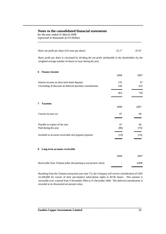*for the year ended 31 March 2008 expressed in thousands of US Dollars*

| Basic net profit per share (US cents per share)                                                                                                                        | 22.17 | 67.67 |
|------------------------------------------------------------------------------------------------------------------------------------------------------------------------|-------|-------|
| Basic profit per share is calculated by dividing the net profit attributable to the shareholders by the<br>weighted average number of shares in issue during the year. |       |       |
| <b>Finance income</b><br>6                                                                                                                                             |       |       |
|                                                                                                                                                                        | 2008  | 2007  |
| Interest income on short term bank deposits                                                                                                                            | 135   | 97    |
| Unwinding of discount on deferred purchase consideration                                                                                                               | 330   | 633   |
|                                                                                                                                                                        | 465   | 730   |
| <b>Taxation</b><br>7                                                                                                                                                   | 2008  | 2007  |
| Current income tax                                                                                                                                                     | 67    | 60    |
| Payable in respect of the year                                                                                                                                         | 67    | 60    |
| Paid during the year                                                                                                                                                   | (86)  | (76)  |
| Included in accounts receivable and prepaid expenses                                                                                                                   | (19)  | (16)  |
| Long term accounts receivable<br>8                                                                                                                                     |       |       |
|                                                                                                                                                                        | 2008  | 2007  |
| Receivable from Vedanta (after discounting to net present value)                                                                                                       |       | 4,890 |

**\_\_\_\_\_\_\_\_\_\_\_\_\_\_\_\_\_\_\_\_\_\_\_\_\_\_\_\_\_\_\_\_\_\_\_\_\_\_\_\_\_\_\_\_\_\_\_\_\_\_\_\_\_\_\_\_\_\_\_\_\_\_\_\_\_\_\_\_\_\_\_\_\_\_**

Resulting from the Vedanta transaction (see note 17), the Company will receive consideration of USD 23,200,000 for waiver of their pre-emptive subscription rights to KCM shares. This amount is receivable over a period from 4 November 2004 to 31 December 2008. The deferred consideration is recorded at its discounted net present value.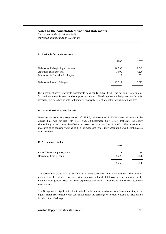*for the year ended 31 March 2008 expressed in thousands of US Dollars*

#### **9 Available for sale investment**

|                                      | 2008   | 2007   |
|--------------------------------------|--------|--------|
| Balance at the beginning of the year | 10,593 | 2,842  |
| Additions during the year            | 1,600  | 7,220  |
| Movement in fair value for the year  | 129    | 531    |
| Balance at the end of the year       | 12,322 | 10,593 |
|                                      |        |        |

**\_\_\_\_\_\_\_\_\_\_\_\_\_\_\_\_\_\_\_\_\_\_\_\_\_\_\_\_\_\_\_\_\_\_\_\_\_\_\_\_\_\_\_\_\_\_\_\_\_\_\_\_\_\_\_\_\_\_\_\_\_\_\_\_\_\_\_\_\_\_\_\_\_\_**

The investment above represents investments in an equity mutual fund. The fair value for available for sale investments is based on dealer price quotations. The Group has not designated any financial assets that are classified as held for trading as financial assets at fair value through profit and loss.

#### **10 Assets classified as held for sale**

Based on the accounting requirements of IFRS 5, the investment in KCM meets the criteria to be classified as held for sale with effect from 30 September 2007. Before that date, the equity shareholding in KCM was classified as an associated company (see Note 15). The investment is measured at its carrying value as of 30 September 2007 and equity accounting was discontinued as from that date.

### **11 Accounts receivable**

|                               | 2008  | 2007  |
|-------------------------------|-------|-------|
| Other debtors and prepayments | 38    | 30    |
| Receivable from Vedanta       | 5,220 | 5,220 |
|                               | 5,258 | 5,250 |
|                               |       |       |

The Group has credit risk attributable to its trade receivables and other debtors. The amounts presented in the balance sheet are net of allowances for doubtful receivables, estimated by the Group's management based on prior experience and their assessment of the current economic environment.

The Group has no significant risk attributable to the amount receivable from Vedanta, as they are a highly capitalised company with substantial assets and earnings worldwide. Vedanta is listed on the London Stock Exchange.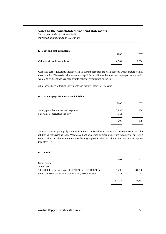*for the year ended 31 March 2008 expressed in thousands of US Dollars*

| 12 Cash and cash equivalents   |       |       |
|--------------------------------|-------|-------|
|                                | 2008  | 2007  |
| Call deposits and cash at bank | 6.584 | 2,856 |

**\_\_\_\_\_\_\_\_\_\_\_\_\_\_\_\_\_\_\_\_\_\_\_\_\_\_\_\_\_\_\_\_\_\_\_\_\_\_\_\_\_\_\_\_\_\_\_\_\_\_\_\_\_\_\_\_\_\_\_\_\_\_\_\_\_\_\_\_\_\_\_\_\_\_**

Cash and cash equivalents include cash in current accounts and cash deposits which mature within three months. The credit risk on cash and liquid funds is limited because the counterparties are banks with high credit ratings assigned by international credit-rating agencies.

All deposits have a floating interest rate and mature within three months.

### **13 Accounts payable and accrued liabilities**

|                                      | 2008  | 2007 |
|--------------------------------------|-------|------|
| Sundry payables and accrued expenses | 2,935 | 188  |
| Fair value of derivative liability   | 4,361 |      |
|                                      | 7.296 | 188  |
|                                      |       |      |

Sundry payables principally comprise amounts outstanding in respect of ongoing costs and the arbitration costs relating to the Vedanta call option, as well as amounts accrued in respect of operating costs. The fair value of the derivative liability represents the fair value of the Vedanta call option (see Note 18).

### **14 Capital**

|                                                              | 2008   | 2007   |
|--------------------------------------------------------------|--------|--------|
| Share capital                                                |        |        |
| <b>Authorised</b>                                            |        |        |
| 130,000,000 ordinary shares of BD\$0.24 each (USD 0.24 each) | 31,200 | 31,200 |
| 50,000 deferred shares of BD\$0.24 each (USD 0.24 each)      | 12     | 12     |
|                                                              | 31.212 | 31.212 |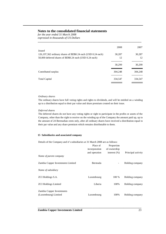*for the year ended 31 March 2008 expressed in thousands of US Dollars*

| 2008    | 2007    |
|---------|---------|
|         |         |
| 30.287  | 30,287  |
| 12      | 12      |
| 30.299  | 30,299  |
| 304.248 | 304.248 |
| 334,547 | 334,547 |
|         |         |

**\_\_\_\_\_\_\_\_\_\_\_\_\_\_\_\_\_\_\_\_\_\_\_\_\_\_\_\_\_\_\_\_\_\_\_\_\_\_\_\_\_\_\_\_\_\_\_\_\_\_\_\_\_\_\_\_\_\_\_\_\_\_\_\_\_\_\_\_\_\_\_\_\_\_**

### *Ordinary shares*

The ordinary shares have full voting rights and rights to dividends, and will be entitled on a winding up to a distribution equal to their par value and share premium created on their issue.

### *Deferred shares*

The deferred shares do not have any voting rights or right to participate in the profits or assets of the Company, other than the right to receive on the winding up of the Company the amount paid up, up to the amount of 24 Bermudian cents only, after all ordinary shares have received a distribution equal to their par value and any share premium which remains distributable to them.

# **15 Subsidiaries and associated company**

Details of the Company and it's subsidiaries at 31 March 2008 are as follows:

|                                   | Place of<br>incorporation | Proportion<br>of ownership |                    |
|-----------------------------------|---------------------------|----------------------------|--------------------|
|                                   | and operation             | interest $(\%)$            | Principal activity |
| Name of parent company            |                           |                            |                    |
| Zambia Copper Investments Limited | Bermuda                   | $\overline{\phantom{a}}$   | Holding company    |
| Name of subsidiary                |                           |                            |                    |
| <b>ZCI Holdings S.A.</b>          | Luxembourg                | 100 %                      | Holding company    |
| <b>ZCI Holdings Limited</b>       | Liberia                   | 100%                       | Holding company    |
| Zambia Copper Investments         |                           |                            |                    |
| (Luxembourg) Limited              | Luxembourg                | 100%                       | Holding company    |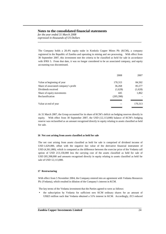*for the year ended 31 March 2008 expressed in thousands of US Dollars*

The Company holds a 28.4% equity stake in Konkola Copper Mines Plc (KCM), a company registered in the Republic of Zambia and operating in mining and ore processing. With effect from 30 September 2007, this investment met the criteria to be classified as held for sale in accordance with IFRS 5. From that date, it was no longer considered to be an associated company, and equity accounting was discontinued.

**\_\_\_\_\_\_\_\_\_\_\_\_\_\_\_\_\_\_\_\_\_\_\_\_\_\_\_\_\_\_\_\_\_\_\_\_\_\_\_\_\_\_\_\_\_\_\_\_\_\_\_\_\_\_\_\_\_\_\_\_\_\_\_\_\_\_\_\_\_\_\_\_\_\_**

|                                      | 2008       | 2007    |
|--------------------------------------|------------|---------|
| Value at beginning of year           | 170,313    | 84,502  |
| Share of associated company's profit | 36,268     | 85,577  |
| Dividends received                   | (1,628)    | (1,628) |
| Share of equity movements            | 445        | 1,862   |
| Reclassification                     | (205, 398) |         |
| Value at end of year                 |            | 170,313 |

At 31 March 2007, the Group accounted for its share of KCM's deficit on hedging reserves directly in equity. With effect from 30 September 2007, the USD (12,113,000) balance of KCM's hedging reserve was reclassified as an amount recognised directly in equity relating to assets classified as held for sale.

### **16 Net cost arising from assets classified as held for sale**

The net cost arising from assets classified as held for sale is comprised of dividend income of USD 1,629,000, offset with the negative fair value of the derivative financial instrument of USD (4,361,000), which is computed as the difference between the exercise price of the Vedanta call option of USD 213,150,000 less the carrying cost of the assets classified as held for sale of USD 205,398,000 and amounts recognised directly in equity relating to assets classified as held for sale of USD 12,113,000.

### **17 Restructuring**

With effect from 5 November 2004, the Company entered into an agreement with Vedanta Resources Plc (Vedanta), which resulted in dilution of the Company's interest in KCM.

The key terms of the Vedanta investment that the Parties agreed to were as follows:

the subscription by Vedanta for sufficient new KCM ordinary shares for an amount of US\$25 million such that Vedanta obtained a 51% interest in KCM. Accordingly, ZCI reduced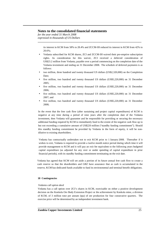*for the year ended 31 March 2008 expressed in thousands of US Dollars*

> its interest in KCM from 58% to 28.4% and ZCCM-IH reduced its interest in KCM from 42% to 20.6%;

**\_\_\_\_\_\_\_\_\_\_\_\_\_\_\_\_\_\_\_\_\_\_\_\_\_\_\_\_\_\_\_\_\_\_\_\_\_\_\_\_\_\_\_\_\_\_\_\_\_\_\_\_\_\_\_\_\_\_\_\_\_\_\_\_\_\_\_\_\_\_\_\_\_\_**

- Vedanta subscribed for KCM shares, ZCI and ZCCM-IH waived their pre-emptive subscription rights. As consideration for this waiver, ZCI received a deferred consideration of US\$23.2 million from Vedanta, payable over a period commencing on the completion date of the Vedanta investment and ending on 31 December 2008. The schedule of deferred payments is as follows:
- two million, three hundred and twenty thousand US dollars (US\$2,320,000) on the Completion Date;
- five million, two hundred and twenty thousand US dollars (US\$5,220,000) on 31 December 2005;
- five million, two hundred and twenty thousand US dollars (US\$5,220,000) on 31 December 2006;
- five million, two hundred and twenty thousand US dollars (US\$5,220,000) on 31 December 2007; and
- five million, two hundred and twenty thousand US dollars (US\$5,220,000) on 31 December 2008;

In the event that the free cash flow (after sustaining and project capital expenditures) of KCM is negative at any time during a period of nine years after the completion date of the Vedanta investment, then Vedanta will guarantee and be responsible for providing or securing the necessary additional funding required by KCM to immediately fund to the extent of the negative cash flow up to but not exceeding a cumulative amount of US\$220 million ("standby funding commitment"). Should this standby funding commitment be provided by Vedanta in the form of equity, it will be nondilutive to existing shareholders.

Vedanta has contractually undertaken not to exit KCM prior to 1 January 2008. Thereafter if it wishes to exit, Vedanta is required to provide a twelve month notice period during which time it will provide management to KCM and it will pay an exit fee equivalent to the following years budgeted capital expenditure (as adjusted for any over or under spending of capital expenditure in prior financial periods), with its standby funding commitment terminating on the exit date.

Vedanta has agreed that KCM will set aside a portion of its future annual free cash flow to create a cash reserve so that the shareholders and GRZ have assurance that as cash is accumulated in the reserve, KCM has dedicated funds available to fund its environmental and terminal benefit obligations.

### **18 Contingencies**

### *Vedanta call option deed*

Vedanta has a call option over ZCI's shares in KCM, exercisable on either a positive development decision on the Konkola Ore Body Extension Project or the achievement by Konkola mine, a division of KCM, of 3 million tone per annum (tpa) of ore production for four consecutive quarters. The exercise price will be determined by an independent investment bank.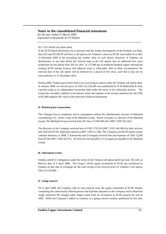*for the year ended 31 March 2008 expressed in thousands of US Dollars*

### *ZCI / ZCCM-IH call option deed*

If the KCM board determines not to proceed with the further development of the Konkola ore body, then ZCI and ZCCM-IH will have a call option over Vedanta's shares in KCM, exercisable on or after 31 December 2009 at the prevailing fair market value of such shares. However, if Vedanta can demonstrate, at any time before the exercise date of the call option, that an additional five years production for the period from 2013 to 2017, at 175 000 tpa of produced finished copper utilising the existing KCM mining licences and adjacent areas is achievable, then in those circumstances the exercise date of the call option will be deferred for a period of five years, such that it may not be exercised prior to 31 December 2014.

**\_\_\_\_\_\_\_\_\_\_\_\_\_\_\_\_\_\_\_\_\_\_\_\_\_\_\_\_\_\_\_\_\_\_\_\_\_\_\_\_\_\_\_\_\_\_\_\_\_\_\_\_\_\_\_\_\_\_\_\_\_\_\_\_\_\_\_\_\_\_\_\_\_\_**

During 2006, Vedanta gave notice that it was exercising its option under the Vedanta call option deed. In January 2008, an exercise price of USD 213,150,000 was established by N M Rothschild & Sons Limited acting as an independent investment bank under the terms of the arbitration process. The Group has recorded a liability in the balance sheet and expense in the income statement for the USD 4,361,000 negative fair value of this derivative financial instrument.

### **19 Related party transactions**

The Company has no employees and in consequence utilises the administrative services of Maitland Luxembourg S.A., which is part of the Maitland Group. Steven Georgala is a director of the Maitland Group. The Maitland Group received from ZCI fees of USD 804,442 (2007: USD 593,165).

The directors of the Company received fees of USD 173,554 (2007: USD 144,549) for their services and USD 82,670 for additional expenses (2007: USD 31,146). The Company and KCM shared certain common directors; in 2008, T Kamwendo and S Georgala received fees and expenses of USD 13,500 from KCM (2007: USD 45,072). All directors fees payable to S Georgala are payable to the Maitland Group.

### **20 Subsequent events**

Vedanta settled it's obligations under the terms of the Vedanta call option deed (see note 18) with an effective date of 9 April 2008. The Group's 28.4% equity investment in KCM was transferred to Vedanta on that date in exchange for the cash receipt of the exercise price of Vedanta's call option, USD 213,150,000.

### **21 Going concern**

On 9 April 2008, the Company sold its sole material asset, the equity investment in KCM, thereby completing the contractually defined process that had been imposed on the Company and its Board by Anglo American Plc (Anglo) when Anglo exited from its investment in KCM towards the end of 2002. While the Company's ability to continue as a going concern remains unaffected by this sale,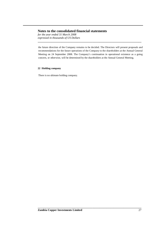*for the year ended 31 March 2008 expressed in thousands of US Dollars*

the future direction of the Company remains to be decided. The Directors will present proposals and recommendations for the future operations of the Company to the shareholders at the Annual General Meeting on 24 September 2008. The Company's continuation in operational existence as a going concern, or otherwise, will be determined by the shareholders at the Annual General Meeting.

**\_\_\_\_\_\_\_\_\_\_\_\_\_\_\_\_\_\_\_\_\_\_\_\_\_\_\_\_\_\_\_\_\_\_\_\_\_\_\_\_\_\_\_\_\_\_\_\_\_\_\_\_\_\_\_\_\_\_\_\_\_\_\_\_\_\_\_\_\_\_\_\_\_\_**

### **22 Holding company**

There is no ultimate holding company.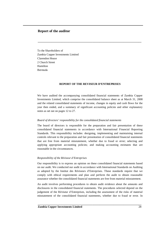# **Report of the auditor**

To the Shareholders of Zambia Copper Investments Limited Clarendon House 2 Church Street Hamilton Bermuda

### **REPORT OF THE REVISEUR D'ENTREPRISES**

**\_\_\_\_\_\_\_\_\_\_\_\_\_\_\_\_\_\_\_\_\_\_\_\_\_\_\_\_\_\_\_\_\_\_\_\_\_\_\_\_\_\_\_\_\_\_\_\_\_\_\_\_\_\_\_\_\_\_\_\_\_\_\_\_\_\_\_\_\_\_\_\_\_\_**

We have audited the accompanying consolidated financial statements of Zambia Copper Investments Limited, which comprise the consolidated balance sheet as at March 31, 2008 and the related consolidated statements of income, changes in equity and cash flows for the year then ended, and a summary of significant accounting policies and other explanatory notes as set out on pages 12 to 27.

#### *Board of directors' responsibility for the consolidated financial statements*

The board of directors is responsible for the preparation and fair presentation of these consolidated financial statements in accordance with International Financial Reporting Standards. This responsibility includes: designing, implementing and maintaining internal controls relevant to the preparation and fair presentation of consolidated financial statements that are free from material misstatement, whether due to fraud or error; selecting and applying appropriate accounting policies; and making accounting estimates that are reasonable in the circumstances.

#### *Responsibility of the Réviseur d'Entreprises*

Our responsibility is to express an opinion on these consolidated financial statements based on our audit. We conducted our audit in accordance with International Standards on Auditing as adopted by the Institut des Réviseurs d'Entreprises. Those standards require that we comply with ethical requirements and plan and perform the audit to obtain reasonable assurance whether the consolidated financial statements are free from material misstatement.

An audit involves performing procedures to obtain audit evidence about the amounts and disclosures in the consolidated financial statements. The procedures selected depend on the judgement of the Réviseur d'Entreprises, including the assessment of the risks of material misstatement of the consolidated financial statements, whether due to fraud or error. In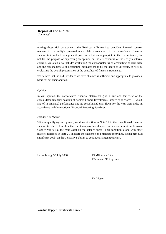making those risk assessments, the Réviseur d'Entreprises considers internal controls relevant to the entity's preparation and fair presentation of the consolidated financial statements in order to design audit procedures that are appropriate in the circumstances, but not for the purpose of expressing an opinion on the effectiveness of the entity's internal controls. An audit also includes evaluating the appropriateness of accounting policies used and the reasonableness of accounting estimates made by the board of directors, as well as evaluating the overall presentation of the consolidated financial statements.

**\_\_\_\_\_\_\_\_\_\_\_\_\_\_\_\_\_\_\_\_\_\_\_\_\_\_\_\_\_\_\_\_\_\_\_\_\_\_\_\_\_\_\_\_\_\_\_\_\_\_\_\_\_\_\_\_\_\_\_\_\_\_\_\_\_\_\_\_\_\_\_\_\_\_**

We believe that the audit evidence we have obtained is sufficient and appropriate to provide a basis for our audit opinion.

### *Opinion*

In our opinion, the consolidated financial statements give a true and fair view of the consolidated financial position of Zambia Copper Investments Limited as at March 31, 2008, and of its financial performance and its consolidated cash flows for the year then ended in accordance with International Financial Reporting Standards.

### *Emphasis of Matter*

Without qualifying our opinion, we draw attention to Note 21 to the consolidated financial statements which describes that the Company has disposed of its investment in Konkola Copper Mines Plc, the main asset on the balance sheet. This condition, along with other matters described in Note 21, indicate the existence of a material uncertainty which may cast significant doubt on the Company's ability to continue as a going concern.

Luxembourg, 30 July 2008 KPMG Audit S.à r.l.

Réviseurs d'Entreprises

Ph. Meyer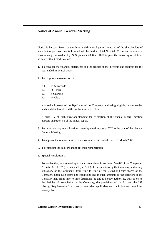# **Notice of Annual General Meeting**

Notice is hereby given that the thirty-eighth annual general meeting of the shareholders of Zambia Copper Investments Limited will be held at Hotel Novotel, 35 rue du Laboratoire, Luxembourg, on Wednesday 24 September 2008 at 11h00 to pass the following resolutions with or without modification:

**\_\_\_\_\_\_\_\_\_\_\_\_\_\_\_\_\_\_\_\_\_\_\_\_\_\_\_\_\_\_\_\_\_\_\_\_\_\_\_\_\_\_\_\_\_\_\_\_\_\_\_\_\_\_\_\_\_\_\_\_\_\_\_\_\_\_\_\_\_\_\_\_\_\_**

- 1. To consider the financial statements and the reports of the directors and auditors for the year ended 31 March 2008.
- 2. To propose the re-election of:
	- 2.1 T Kamwendo
	- 2.2 D Rodier
	- 2.3 S Georgala
	- 2.4 M Clerc

who retire in terms of the Bye-Laws of the Company, and being eligible, recommended and available has offered themselves for re-election.

A brief CV of each directors standing for re-election at the annual general meeting appears on pages 4/5 of the annual report

- 3. To ratify and approve all actions taken by the directors of ZCI to the date of this Annual General Meeting.
- 4. To approve the remuneration of the directors for the period ended 31 March 2008.
- 5. To reappoint the auditors and to fix their remuneration.
- 6. Special Resolution 1:

To resolve that, as a general approval contemplated in sections 85 to 89 of the Companies Act (Act 61 of 1973) as amended (the Act"), the acquisitions by the Company, and/or any subsidiary of the Company, from time to time of the issued ordinary shares of the Company, upon such terms and conditions and in such amounts as the directors of the Company may from time to time determine, be and is hereby authorised, but subject to the Articles of Association of the Company, the provisions of the Act and the JSE Listings Requirements from time to time, when applicable, and the following limitations, namely that: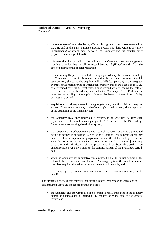• the repurchase of securities being effected through the order books operated by the JSE and/or the Paris Euronext trading system and done without any prior understanding or arrangement between the Company and the counter party (reported trades are prohibited);

**\_\_\_\_\_\_\_\_\_\_\_\_\_\_\_\_\_\_\_\_\_\_\_\_\_\_\_\_\_\_\_\_\_\_\_\_\_\_\_\_\_\_\_\_\_\_\_\_\_\_\_\_\_\_\_\_\_\_\_\_\_\_\_\_\_\_\_\_\_\_\_\_\_\_**

- this general authority shall only be valid until the Company's next annual general meeting, provided that it shall not extend beyond 15 (fifteen) months from the date of passing of this special resolution;
- in determining the price at which the Company's ordinary shares are acquired by the Company in terms of this general authority, the maximum premium at which such ordinary shares may be acquired will be 10% (ten per cent) of the weighted average of the market price at which such ordinary shares are traded on the JSE, as determined over the 5 (five) trading days immediately preceding the date of the repurchase of such ordinary shares by the Company. The JSE should be consulted for a ruling if the applicant's securities have not traded in such 5 day business day period;
- acquisitions of ordinary shares in the aggregate in any one financial year may not exceed 20% (twenty per cent) of the Company's issued ordinary share capital as at the beginning of the financial year;
- the Company may only undertake a repurchase of securities if, after such repurchase, it still complies with paragraphs 3.37 to 3.41 of the JSE Listings Requirements concerning shareholder spread;
- the Company or its subsidiaries may not repurchase securities during a prohibited period as defined in paragraph 3.67 of the JSE Listings Requirements unless they have in place a repurchase programme where the dates and quantities of securities to be traded during the relevant period are fixed (not subject to any variation) and full details of the programme have been disclosed in an announcement over SENS prior to the commencement of the prohibited period; and
- when the Company has cumulatively repurchased 3% of the initial number of the relevant class of securities, and for each 3% in aggregate of the initial number of that class acquired thereafter, an announcement will be made; and
- the Company may only appoint one agent to effect any repurchase(s) on its behalf.

The directors undertake that they will not effect a general repurchase of shares and as contemplated above unless the following can be met:

**\_\_\_\_\_\_\_\_\_\_\_\_\_\_\_\_\_\_\_\_\_\_\_\_\_\_\_\_\_\_\_\_\_\_\_\_\_\_\_\_\_\_\_\_\_\_\_\_\_\_\_\_\_\_\_\_\_\_\_\_\_\_\_\_\_\_\_\_\_\_\_\_\_\_**

• the Company and the Group are in a position to repay their debt in the ordinary course of business for a period of 12 months after the date of the general repurchase;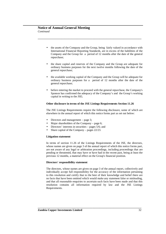• the assets of the Company and the Group, being fairly valued in accordance with International Financial Reporting Standards, are in excess of the liabilities of the Company and the Group for a period of 12 months after the date of the general repurchase;

**\_\_\_\_\_\_\_\_\_\_\_\_\_\_\_\_\_\_\_\_\_\_\_\_\_\_\_\_\_\_\_\_\_\_\_\_\_\_\_\_\_\_\_\_\_\_\_\_\_\_\_\_\_\_\_\_\_\_\_\_\_\_\_\_\_\_\_\_\_\_\_\_\_\_**

- the share capital and reserves of the Company and the Group are adequate for ordinary business purposes for the next twelve months following the date of the general repurchase;
- the available working capital of the Company and the Group will be adequate for ordinary business purposes for a period of 12 months after the date of the general repurchase;
- before entering the market to proceed with the general repurchase, the Company's Sponsor has confirmed the adequacy of the Company's and the Group's working capital in writing to the JSE;

### **Other disclosure in terms of the JSE Listings Requirements Section 11.26**

The JSE Listings Requirements require the following disclosure, some of which are elsewhere in the annual report of which this notice forms part as set out below:

- Directors and management page 3;
- Major shareholders of the Company page 6;
- Directors' interests in securities pages 5/6; and
- Share capital of the Company pages 22/23.

# **Litigation statement**

In terms of section 11.26 of the Listings Requirements of the JSE, the directors, whose names are given on page 3 of the annual report of which this notice forms part, are not aware of any legal or arbitration proceedings, including proceedings that are pending or threatened, that may have or have had in the recent past, being at least the previous 12 months, a material effect on the Group's financial position.

### **Directors' responsibility statement**

The directors, whose names are given on page 3 of the annual report, collectively and individually accept full responsibility for the accuracy of the information pertaining to this resolution and certify that to the best of their knowledge and belief there are no facts that have been omitted which would make any statement false or misleading, and that all reasonable enquiries to ascertain such facts have been made and that this resolution contains all information required by law and the JSE Listings Requirements.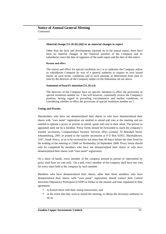### **Material change [11.26 (b) (iii)] or no material changes to report**

**\_\_\_\_\_\_\_\_\_\_\_\_\_\_\_\_\_\_\_\_\_\_\_\_\_\_\_\_\_\_\_\_\_\_\_\_\_\_\_\_\_\_\_\_\_\_\_\_\_\_\_\_\_\_\_\_\_\_\_\_\_\_\_\_\_\_\_\_\_\_\_\_\_\_**

Other than the facts and developments reported on in the annual report, there have been no material changes in the financial position of the Company and its subsidiaries since the date of signature of the audit report and the date of this notice.

### **Reason and effect**

The reason and effect for special resolution no.1 is to authorise the Company and/or its subsidiaries Company by way of a general authority to acquire its own issued shares on such terms, conditions and in such amounts as determined from time to time by the directors of the Company subject to the limitations set out above.

#### **Statement of board's intention [11.26 (c)]**

The directors of the Company have no specific intention to effect the provisions of special resolution number no. 1 but will however, continually review the Company's position, having regard to prevailing circumstances and market conditions, in considering whether to effect the provisions of special resolution number no.1.

### **Voting and Proxies**

Shareholders who have not dematerialised their shares or who have dematerialised their shares with "own name" registration are entitled to attend and vote at the meeting and are entitled to appoint a proxy or proxies to attend, speak and vote in their stead. The person so appointed need not be a member. Proxy forms should be forwarded to reach the company's transfer secretaries, Computershare Investor Services (Pty) Limited, 70 Marshall Street, Johannesburg, 2001 or posted to the transfer secretaries at P O Box 61051, Marshalltown, 2107, South Africa, so as to be received by not more than 48 hours before the time fixed for the holding of the meeting at 11h00 on Wednesday 24 September 2008. Proxy forms should only be completed by members who have not dematerialised their shares or who have dematerialised their shares with "own name" registration.

On a show of hands, every member of the company present in person or represented by proxy shall have on vote only. On a poll, every member of the company shall have one vote for every share held in the company by such member.

Members who have dematerialised their shares, other than those members who have dematerialised their shares with "own name" registration should contact their Central Securities Depository Participant (CSDP) or broker in the manner and time stipulated in their agreement:

- to furnish them with their voting instructions; and
- in the event that they wish to attend the meeting, to obtain the necessary authority to do so.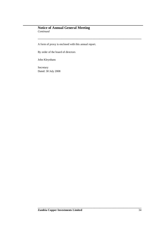# **Notice of Annual General Meeting** *Continued*

A form of proxy is enclosed with this annual report.

**\_\_\_\_\_\_\_\_\_\_\_\_\_\_\_\_\_\_\_\_\_\_\_\_\_\_\_\_\_\_\_\_\_\_\_\_\_\_\_\_\_\_\_\_\_\_\_\_\_\_\_\_\_\_\_\_\_\_\_\_\_\_\_\_\_\_\_\_\_\_\_\_\_\_**

By order of the board of directors

John Kleynhans

Secretary Dated: 30 July 2008